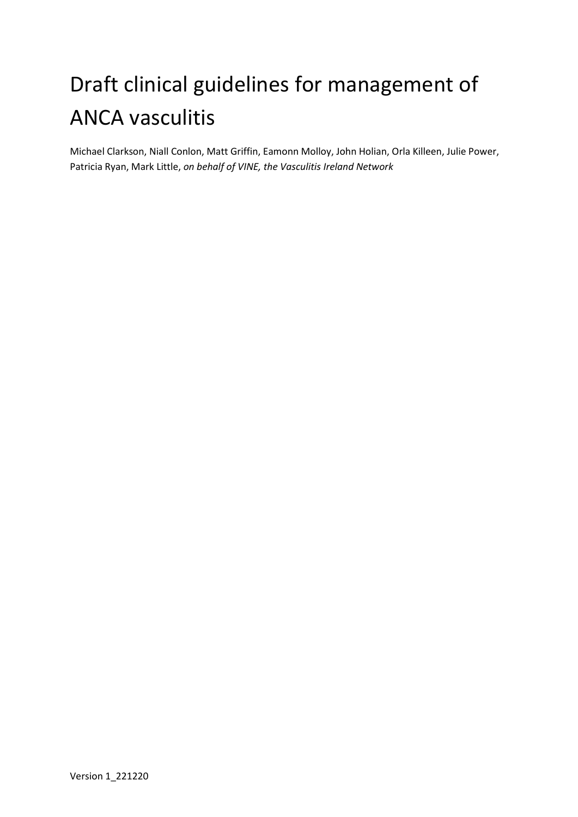# Draft clinical guidelines for management of ANCA vasculitis

Michael Clarkson, Niall Conlon, Matt Griffin, Eamonn Molloy, John Holian, Orla Killeen, Julie Power, Patricia Ryan, Mark Little, *on behalf of VINE, the Vasculitis Ireland Network*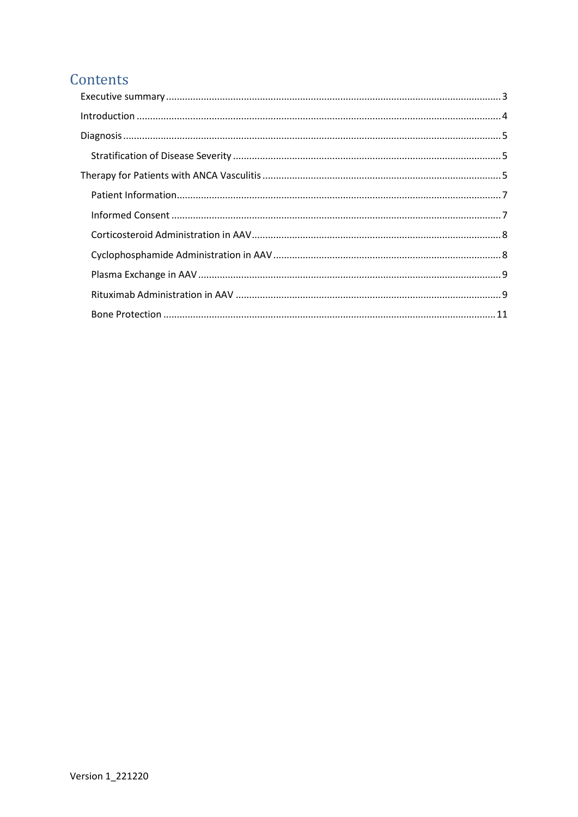# Contents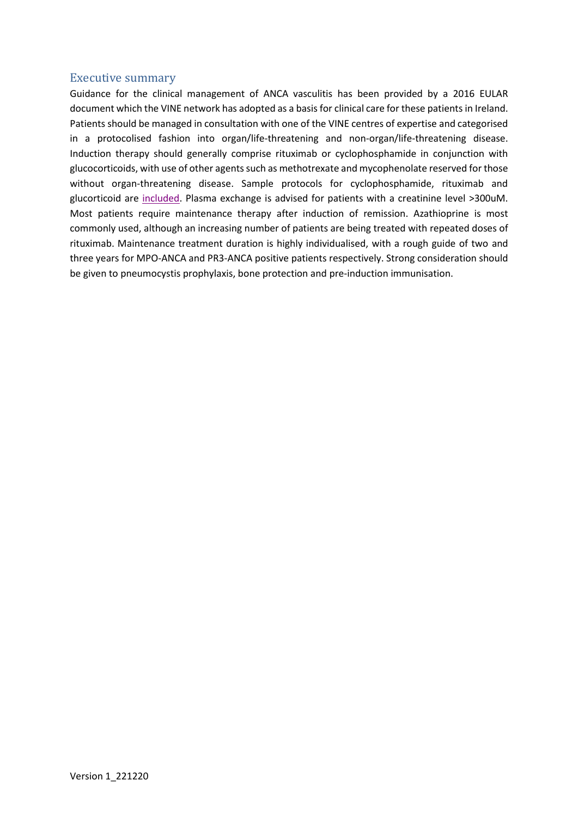# <span id="page-2-0"></span>Executive summary

Guidance for the clinical management of ANCA vasculitis has been provided by a 2016 EULAR document which the VINE network has adopted as a basis for clinical care for these patients in Ireland. Patients should be managed in consultation with one of the VINE centres of expertise and categorised in a protocolised fashion into organ/life-threatening and non-organ/life-threatening disease. Induction therapy should generally comprise rituximab or cyclophosphamide in conjunction with glucocorticoids, with use of other agents such as methotrexate and mycophenolate reserved for those without organ-threatening disease. Sample protocols for cyclophosphamide, rituximab and glucorticoid are [included.](https://www.tcd.ie/medicine/thkc/vasculitis/) Plasma exchange is advised for patients with a creatinine level >300uM. Most patients require maintenance therapy after induction of remission. Azathioprine is most commonly used, although an increasing number of patients are being treated with repeated doses of rituximab. Maintenance treatment duration is highly individualised, with a rough guide of two and three years for MPO-ANCA and PR3-ANCA positive patients respectively. Strong consideration should be given to pneumocystis prophylaxis, bone protection and pre-induction immunisation.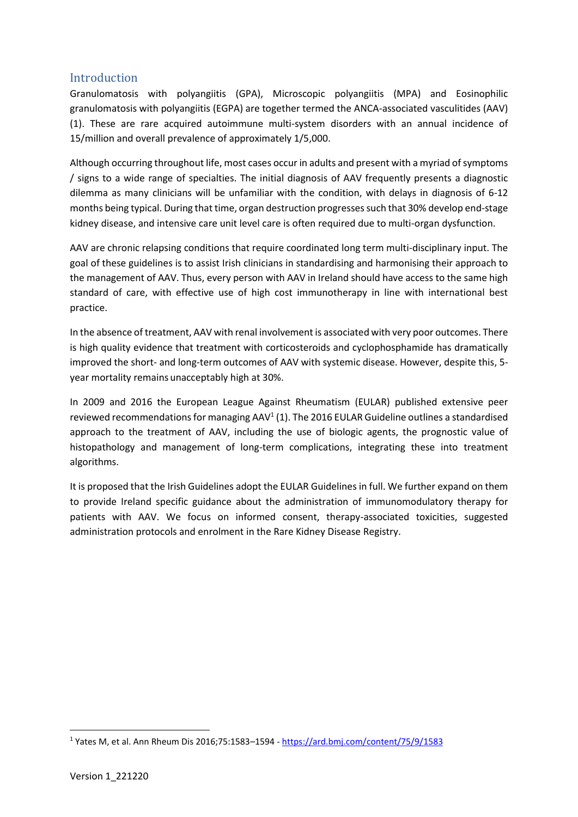# <span id="page-3-0"></span>Introduction

Granulomatosis with polyangiitis (GPA), Microscopic polyangiitis (MPA) and Eosinophilic granulomatosis with polyangiitis (EGPA) are together termed the ANCA-associated vasculitides (AAV) (1). These are rare acquired autoimmune multi-system disorders with an annual incidence of 15/million and overall prevalence of approximately 1/5,000.

Although occurring throughout life, most cases occur in adults and present with a myriad of symptoms / signs to a wide range of specialties. The initial diagnosis of AAV frequently presents a diagnostic dilemma as many clinicians will be unfamiliar with the condition, with delays in diagnosis of 6-12 months being typical. During that time, organ destruction progresses such that 30% develop end-stage kidney disease, and intensive care unit level care is often required due to multi-organ dysfunction.

AAV are chronic relapsing conditions that require coordinated long term multi-disciplinary input. The goal of these guidelines is to assist Irish clinicians in standardising and harmonising their approach to the management of AAV. Thus, every person with AAV in Ireland should have access to the same high standard of care, with effective use of high cost immunotherapy in line with international best practice.

In the absence of treatment, AAV with renal involvement is associated with very poor outcomes. There is high quality evidence that treatment with corticosteroids and cyclophosphamide has dramatically improved the short- and long-term outcomes of AAV with systemic disease. However, despite this, 5 year mortality remains unacceptably high at 30%.

In 2009 and 2016 the European League Against Rheumatism (EULAR) published extensive peer reviewed recommendations for managing AAV<sup>1</sup> (1). The 2016 EULAR Guideline outlines a standardised approach to the treatment of AAV, including the use of biologic agents, the prognostic value of histopathology and management of long-term complications, integrating these into treatment algorithms.

It is proposed that the Irish Guidelines adopt the EULAR Guidelines in full. We further expand on them to provide Ireland specific guidance about the administration of immunomodulatory therapy for patients with AAV. We focus on informed consent, therapy-associated toxicities, suggested administration protocols and enrolment in the Rare Kidney Disease Registry.

<sup>1</sup> Yates M, et al. Ann Rheum Dis 2016;75:1583–1594 - <https://ard.bmj.com/content/75/9/1583>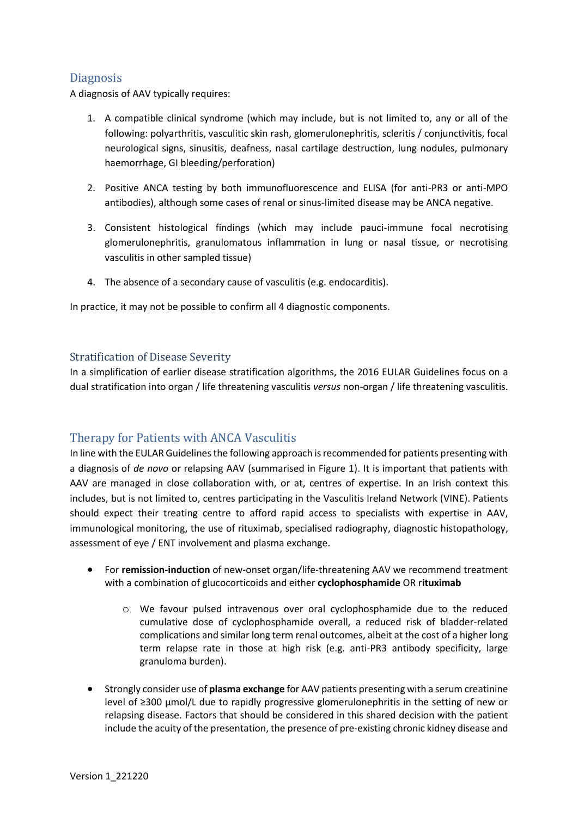# <span id="page-4-0"></span>**Diagnosis**

A diagnosis of AAV typically requires:

- 1. A compatible clinical syndrome (which may include, but is not limited to, any or all of the following: polyarthritis, vasculitic skin rash, glomerulonephritis, scleritis / conjunctivitis, focal neurological signs, sinusitis, deafness, nasal cartilage destruction, lung nodules, pulmonary haemorrhage, GI bleeding/perforation)
- 2. Positive ANCA testing by both immunofluorescence and ELISA (for anti-PR3 or anti-MPO antibodies), although some cases of renal or sinus-limited disease may be ANCA negative.
- 3. Consistent histological findings (which may include pauci-immune focal necrotising glomerulonephritis, granulomatous inflammation in lung or nasal tissue, or necrotising vasculitis in other sampled tissue)
- 4. The absence of a secondary cause of vasculitis (e.g. endocarditis).

In practice, it may not be possible to confirm all 4 diagnostic components.

#### <span id="page-4-1"></span>Stratification of Disease Severity

In a simplification of earlier disease stratification algorithms, the 2016 EULAR Guidelines focus on a dual stratification into organ / life threatening vasculitis *versus* non-organ / life threatening vasculitis.

# <span id="page-4-2"></span>Therapy for Patients with ANCA Vasculitis

In line with the EULAR Guidelines the following approach is recommended for patients presenting with a diagnosis of *de novo* or relapsing AAV (summarised in Figure 1). It is important that patients with AAV are managed in close collaboration with, or at, centres of expertise. In an Irish context this includes, but is not limited to, centres participating in the Vasculitis Ireland Network (VINE). Patients should expect their treating centre to afford rapid access to specialists with expertise in AAV, immunological monitoring, the use of rituximab, specialised radiography, diagnostic histopathology, assessment of eye / ENT involvement and plasma exchange.

- For **remission-induction** of new-onset organ/life-threatening AAV we recommend treatment with a combination of glucocorticoids and either **cyclophosphamide** OR r**ituximab**
	- o We favour pulsed intravenous over oral cyclophosphamide due to the reduced cumulative dose of cyclophosphamide overall, a reduced risk of bladder-related complications and similar long term renal outcomes, albeit at the cost of a higher long term relapse rate in those at high risk (e.g. anti-PR3 antibody specificity, large granuloma burden).
- Strongly consider use of **plasma exchange** for AAV patients presenting with a serum creatinine level of ≥300 µmol/L due to rapidly progressive glomerulonephritis in the setting of new or relapsing disease. Factors that should be considered in this shared decision with the patient include the acuity of the presentation, the presence of pre-existing chronic kidney disease and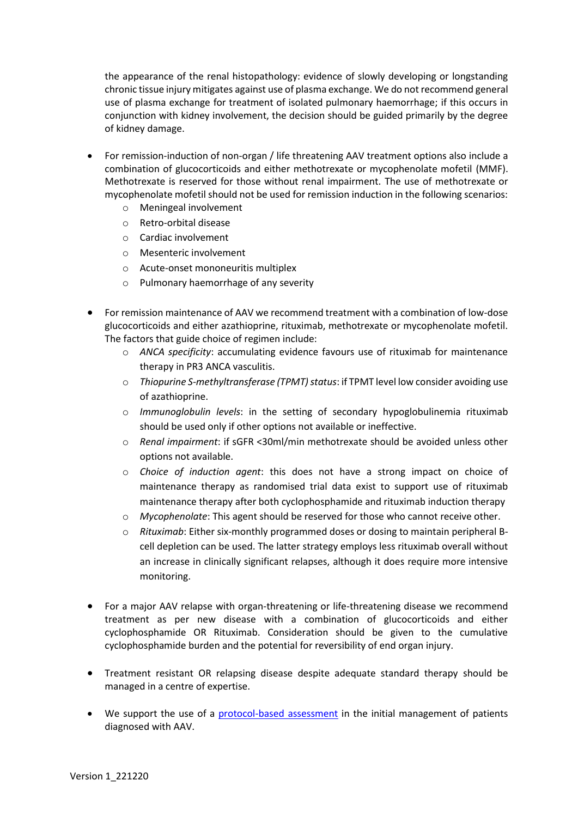the appearance of the renal histopathology: evidence of slowly developing or longstanding chronic tissue injury mitigates against use of plasma exchange. We do not recommend general use of plasma exchange for treatment of isolated pulmonary haemorrhage; if this occurs in conjunction with kidney involvement, the decision should be guided primarily by the degree of kidney damage.

- For remission-induction of non-organ / life threatening AAV treatment options also include a combination of glucocorticoids and either methotrexate or mycophenolate mofetil (MMF). Methotrexate is reserved for those without renal impairment. The use of methotrexate or mycophenolate mofetil should not be used for remission induction in the following scenarios:
	- o Meningeal involvement
	- o Retro-orbital disease
	- o Cardiac involvement
	- o Mesenteric involvement
	- o Acute-onset mononeuritis multiplex
	- o Pulmonary haemorrhage of any severity
- For remission maintenance of AAV we recommend treatment with a combination of low-dose glucocorticoids and either azathioprine, rituximab, methotrexate or mycophenolate mofetil. The factors that guide choice of regimen include:
	- o *ANCA specificity*: accumulating evidence favours use of rituximab for maintenance therapy in PR3 ANCA vasculitis.
	- o *Thiopurine S-methyltransferase (TPMT) status*: if TPMT level low consider avoiding use of azathioprine.
	- o *Immunoglobulin levels*: in the setting of secondary hypoglobulinemia rituximab should be used only if other options not available or ineffective.
	- o *Renal impairment*: if sGFR <30ml/min methotrexate should be avoided unless other options not available.
	- o *Choice of induction agent*: this does not have a strong impact on choice of maintenance therapy as randomised trial data exist to support use of rituximab maintenance therapy after both cyclophosphamide and rituximab induction therapy
	- o *Mycophenolate*: This agent should be reserved for those who cannot receive other.
	- o *Rituximab*: Either six-monthly programmed doses or dosing to maintain peripheral Bcell depletion can be used. The latter strategy employs less rituximab overall without an increase in clinically significant relapses, although it does require more intensive monitoring.
- For a major AAV relapse with organ-threatening or life-threatening disease we recommend treatment as per new disease with a combination of glucocorticoids and either cyclophosphamide OR Rituximab. Consideration should be given to the cumulative cyclophosphamide burden and the potential for reversibility of end organ injury.
- Treatment resistant OR relapsing disease despite adequate standard therapy should be managed in a centre of expertise.
- We support the use of a [protocol-based assessment](https://www.tcd.ie/medicine/thkc/assets/protocolised-assessment-of-the-patient-with-anca-vasculitis.xlsx) in the initial management of patients diagnosed with AAV.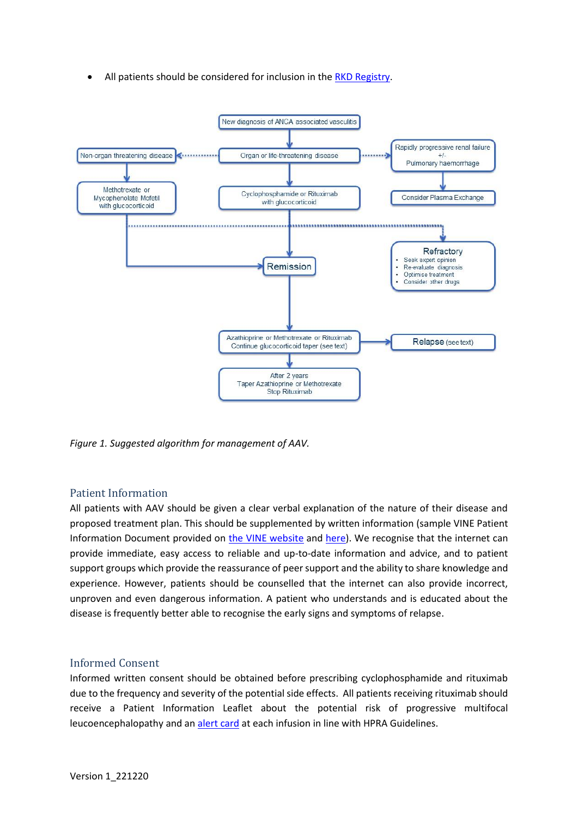All patients should be considered for inclusion in the RKD [Registry.](https://www.tcd.ie/medicine/thkc/research/rare.php)



*Figure 1. Suggested algorithm for management of AAV.* 

# <span id="page-6-0"></span>Patient Information

All patients with AAV should be given a clear verbal explanation of the nature of their disease and proposed treatment plan. This should be supplemented by written information (sample VINE Patient Information Document provided on [the VINE website](https://www.tcd.ie/medicine/thkc/assets/pdf/sample-pil-anca-vasculitis-tuh.pdf) and [here\)](https://www.tcd.ie/medicine/thkc/assets/pdf/sample_pil-anca-vasculitis-cuh.pdf). We recognise that the internet can provide immediate, easy access to reliable and up-to-date information and advice, and to patient support groups which provide the reassurance of peer support and the ability to share knowledge and experience. However, patients should be counselled that the internet can also provide incorrect, unproven and even dangerous information. A patient who understands and is educated about the disease is frequently better able to recognise the early signs and symptoms of relapse.

# <span id="page-6-1"></span>Informed Consent

Informed written consent should be obtained before prescribing cyclophosphamide and rituximab due to the frequency and severity of the potential side effects. All patients receiving rituximab should receive a Patient Information Leaflet about the potential risk of progressive multifocal leucoencephalopathy and a[n alert card](https://www.tcd.ie/medicine/thkc/assets/pdf/mabther-rituximab-patient-alert.pdf) at each infusion in line with HPRA Guidelines.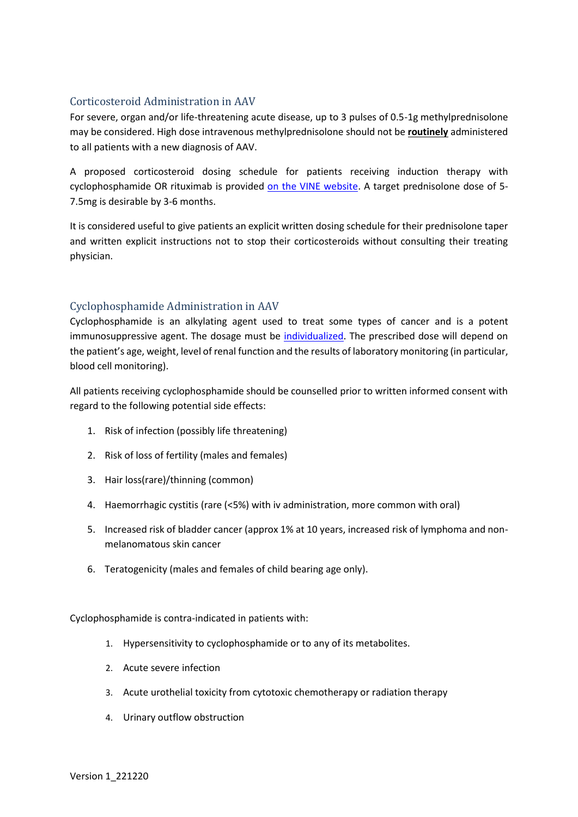# <span id="page-7-0"></span>Corticosteroid Administration in AAV

For severe, organ and/or life-threatening acute disease, up to 3 pulses of 0.5-1g methylprednisolone may be considered. High dose intravenous methylprednisolone should not be **routinely** administered to all patients with a new diagnosis of AAV.

A proposed corticosteroid dosing schedule for patients receiving induction therapy with cyclophosphamide OR rituximab is provided [on the VINE website.](https://www.tcd.ie/medicine/thkc/assets/doc/steroid-dosing-for-patients-with-anca-vasculitis.docx) A target prednisolone dose of 5- 7.5mg is desirable by 3-6 months.

It is considered useful to give patients an explicit written dosing schedule for their prednisolone taper and written explicit instructions not to stop their corticosteroids without consulting their treating physician.

# <span id="page-7-1"></span>Cyclophosphamide Administration in AAV

Cyclophosphamide is an alkylating agent used to treat some types of cancer and is a potent immunosuppressive agent. The dosage must be [individualized.](https://www.tcd.ie/medicine/thkc/assets/doc/cyclophosphamide-administration-vine.docx) The prescribed dose will depend on the patient's age, weight, level of renal function and the results of laboratory monitoring (in particular, blood cell monitoring).

All patients receiving cyclophosphamide should be counselled prior to written informed consent with regard to the following potential side effects:

- 1. Risk of infection (possibly life threatening)
- 2. Risk of loss of fertility (males and females)
- 3. Hair loss(rare)/thinning (common)
- 4. Haemorrhagic cystitis (rare (<5%) with iv administration, more common with oral)
- 5. Increased risk of bladder cancer (approx 1% at 10 years, increased risk of lymphoma and nonmelanomatous skin cancer
- 6. Teratogenicity (males and females of child bearing age only).

Cyclophosphamide is contra-indicated in patients with:

- 1. Hypersensitivity to cyclophosphamide or to any of its metabolites.
- 2. Acute severe infection
- 3. Acute urothelial toxicity from cytotoxic chemotherapy or radiation therapy
- 4. Urinary outflow obstruction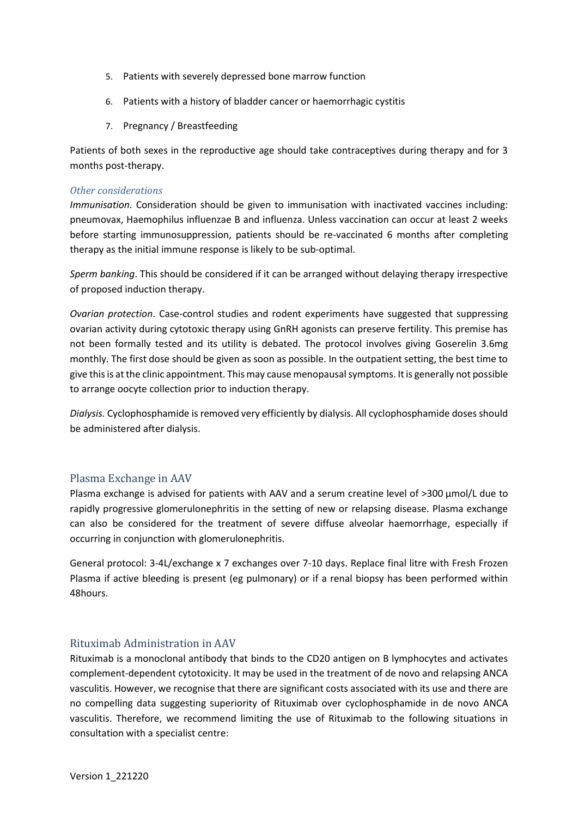- 5. Patients with severely depressed bone marrow function
- 6. Patients with a history of bladder cancer or haemorrhagic cystitis
- 7. Pregnancy / Breastfeeding

Patients of both sexes in the reproductive age should take contraceptives during therapy and for 3 months post-therapy.

#### *Other considerations*

*Immunisation.* Consideration should be given to immunisation with inactivated vaccines including: pneumovax, Haemophilus influenzae B and influenza. Unless vaccination can occur at least 2 weeks before starting immunosuppression, patients should be re-vaccinated 6 months after completing therapy as the initial immune response is likely to be sub-optimal.

*Sperm banking*. This should be considered if it can be arranged without delaying therapy irrespective of proposed induction therapy.

*Ovarian protection*. Case-control studies and rodent experiments have suggested that suppressing ovarian activity during cytotoxic therapy using GnRH agonists can preserve fertility. This premise has not been formally tested and its utility is debated. The protocol involves giving Goserelin 3.6mg monthly. The first dose should be given as soon as possible. In the outpatient setting, the best time to give this is at the clinic appointment. This may cause menopausal symptoms. It is generally not possible to arrange oocyte collection prior to induction therapy.

*Dialysis.* Cyclophosphamide is removed very efficiently by dialysis. All cyclophosphamide doses should be administered after dialysis.

# <span id="page-8-0"></span>Plasma Exchange in AAV

Plasma exchange is advised for patients with AAV and a serum creatine level of >300 µmol/L due to rapidly progressive glomerulonephritis in the setting of new or relapsing disease. Plasma exchange can also be considered for the treatment of severe diffuse alveolar haemorrhage, especially if occurring in conjunction with glomerulonephritis.

General protocol: 3-4L/exchange x 7 exchanges over 7-10 days. Replace final litre with Fresh Frozen Plasma if active bleeding is present (eg pulmonary) or if a renal biopsy has been performed within 48hours.

# <span id="page-8-1"></span>Rituximab Administration in AAV

Rituximab is a monoclonal antibody that binds to the CD20 antigen on B lymphocytes and activates complement-dependent cytotoxicity. It may be used in the treatment of de novo and relapsing ANCA vasculitis. However, we recognise that there are significant costs associated with its use and there are no compelling data suggesting superiority of Rituximab over cyclophosphamide in de novo ANCA vasculitis. Therefore, we recommend limiting the use of Rituximab to the following situations in consultation with a specialist centre: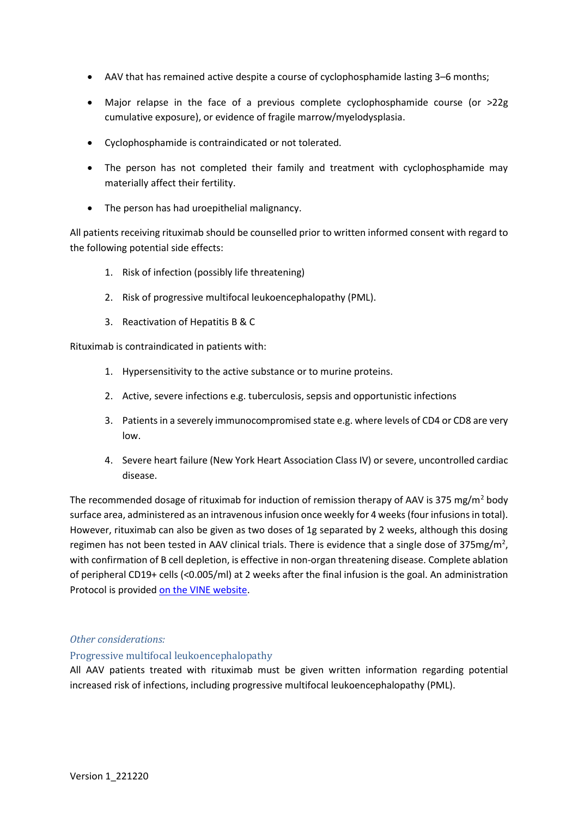- AAV that has remained active despite a course of cyclophosphamide lasting 3–6 months;
- Major relapse in the face of a previous complete cyclophosphamide course (or  $>22g$ cumulative exposure), or evidence of fragile marrow/myelodysplasia.
- Cyclophosphamide is contraindicated or not tolerated.
- The person has not completed their family and treatment with cyclophosphamide may materially affect their fertility.
- The person has had uroepithelial malignancy.

All patients receiving rituximab should be counselled prior to written informed consent with regard to the following potential side effects:

- 1. Risk of infection (possibly life threatening)
- 2. Risk of progressive multifocal leukoencephalopathy (PML).
- 3. Reactivation of Hepatitis B & C

Rituximab is contraindicated in patients with:

- 1. Hypersensitivity to the active substance or to murine proteins.
- 2. Active, severe infections e.g. tuberculosis, sepsis and opportunistic infections
- 3. Patients in a severely immunocompromised state e.g. where levels of CD4 or CD8 are very low.
- 4. Severe heart failure (New York Heart Association Class IV) or severe, uncontrolled cardiac disease.

The recommended dosage of rituximab for induction of remission therapy of AAV is 375 mg/m<sup>2</sup> body surface area, administered as an intravenous infusion once weekly for 4 weeks (four infusions in total). However, rituximab can also be given as two doses of 1g separated by 2 weeks, although this dosing regimen has not been tested in AAV clinical trials. There is evidence that a single dose of 375mg/m<sup>2</sup>, with confirmation of B cell depletion, is effective in non-organ threatening disease. Complete ablation of peripheral CD19+ cells (<0.005/ml) at 2 weeks after the final infusion is the goal. An administration Protocol is provided [on the VINE website.](https://www.tcd.ie/medicine/thkc/assets/doc/sample-protocol-rituximab-administration.docx)

#### *Other considerations:*

#### Progressive multifocal leukoencephalopathy

All AAV patients treated with rituximab must be given written information regarding potential increased risk of infections, including progressive multifocal leukoencephalopathy (PML).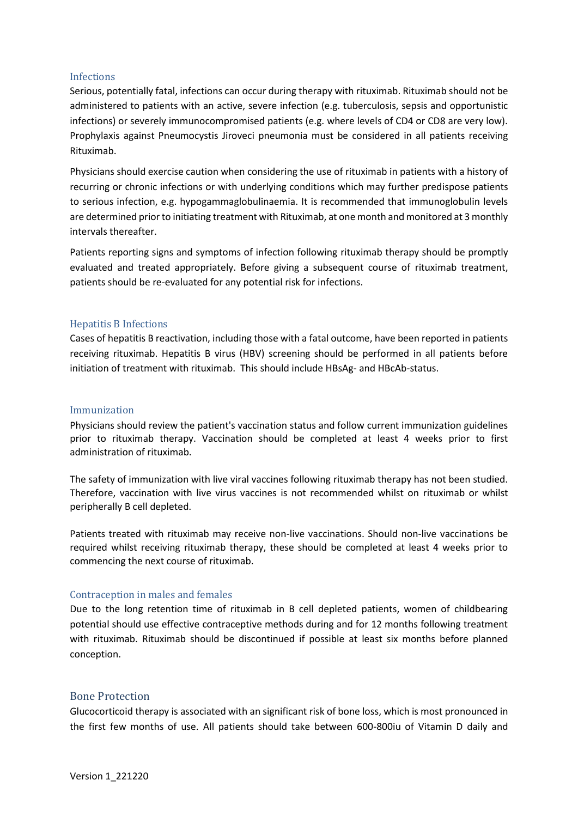#### Infections

Serious, potentially fatal, infections can occur during therapy with rituximab. Rituximab should not be administered to patients with an active, severe infection (e.g. tuberculosis, sepsis and opportunistic infections) or severely immunocompromised patients (e.g. where levels of CD4 or CD8 are very low). Prophylaxis against Pneumocystis Jiroveci pneumonia must be considered in all patients receiving Rituximab.

Physicians should exercise caution when considering the use of rituximab in patients with a history of recurring or chronic infections or with underlying conditions which may further predispose patients to serious infection, e.g. hypogammaglobulinaemia. It is recommended that immunoglobulin levels are determined prior to initiating treatment with Rituximab, at one month and monitored at 3 monthly intervals thereafter.

Patients reporting signs and symptoms of infection following rituximab therapy should be promptly evaluated and treated appropriately. Before giving a subsequent course of rituximab treatment, patients should be re-evaluated for any potential risk for infections.

#### Hepatitis B Infections

Cases of hepatitis B reactivation, including those with a fatal outcome, have been reported in patients receiving rituximab. Hepatitis B virus (HBV) screening should be performed in all patients before initiation of treatment with rituximab. This should include HBsAg- and HBcAb-status.

#### Immunization

Physicians should review the patient's vaccination status and follow current immunization guidelines prior to rituximab therapy. Vaccination should be completed at least 4 weeks prior to first administration of rituximab.

The safety of immunization with live viral vaccines following rituximab therapy has not been studied. Therefore, vaccination with live virus vaccines is not recommended whilst on rituximab or whilst peripherally B cell depleted.

Patients treated with rituximab may receive non-live vaccinations. Should non-live vaccinations be required whilst receiving rituximab therapy, these should be completed at least 4 weeks prior to commencing the next course of rituximab.

#### Contraception in males and females

Due to the long retention time of rituximab in B cell depleted patients, women of childbearing potential should use effective contraceptive methods during and for 12 months following treatment with rituximab. Rituximab should be discontinued if possible at least six months before planned conception.

#### <span id="page-10-0"></span>Bone Protection

Glucocorticoid therapy is associated with an significant risk of bone loss, which is most pronounced in the first few months of use. All patients should take between 600-800iu of Vitamin D daily and